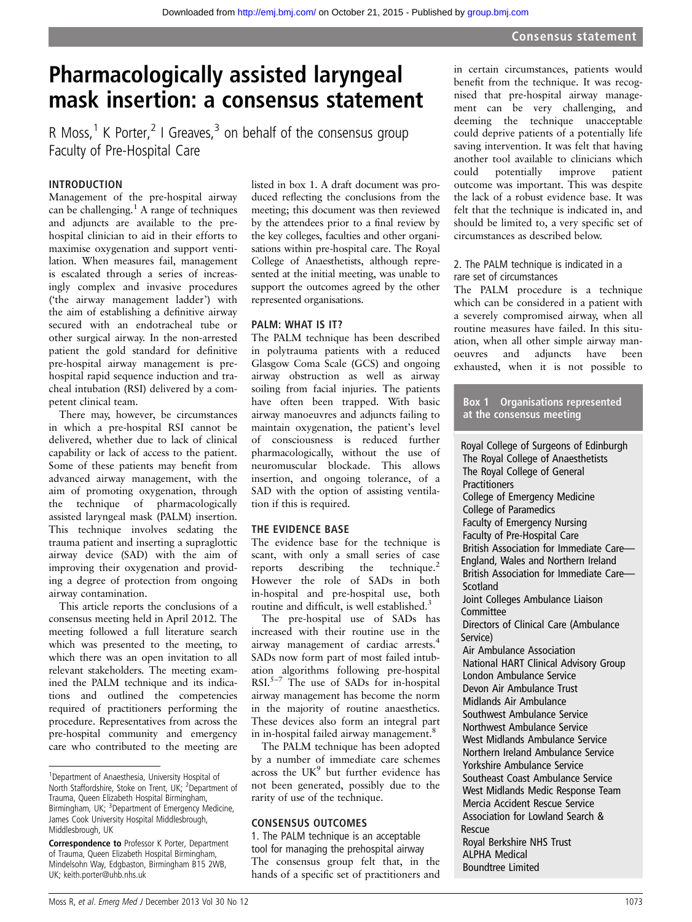# Pharmacologically assisted laryngeal mask insertion: a consensus statement

R Moss,<sup>1</sup> K Porter,<sup>2</sup> I Greaves,<sup>3</sup> on behalf of the consensus group Faculty of Pre-Hospital Care

# INTRODUCTION

Management of the pre-hospital airway can be challenging.<sup>1</sup> A range of techniques and adjuncts are available to the prehospital clinician to aid in their efforts to maximise oxygenation and support ventilation. When measures fail, management is escalated through a series of increasingly complex and invasive procedures ('the airway management ladder') with the aim of establishing a definitive airway secured with an endotracheal tube or other surgical airway. In the non-arrested patient the gold standard for definitive pre-hospital airway management is prehospital rapid sequence induction and tracheal intubation (RSI) delivered by a competent clinical team.

There may, however, be circumstances in which a pre-hospital RSI cannot be delivered, whether due to lack of clinical capability or lack of access to the patient. Some of these patients may benefit from advanced airway management, with the aim of promoting oxygenation, through the technique of pharmacologically assisted laryngeal mask (PALM) insertion. This technique involves sedating the trauma patient and inserting a supraglottic airway device (SAD) with the aim of improving their oxygenation and providing a degree of protection from ongoing airway contamination.

This article reports the conclusions of a consensus meeting held in April 2012. The meeting followed a full literature search which was presented to the meeting, to which there was an open invitation to all relevant stakeholders. The meeting examined the PALM technique and its indications and outlined the competencies required of practitioners performing the procedure. Representatives from across the pre-hospital community and emergency care who contributed to the meeting are listed in box 1. A draft document was produced reflecting the conclusions from the meeting; this document was then reviewed by the attendees prior to a final review by the key colleges, faculties and other organisations within pre-hospital care. The Royal College of Anaesthetists, although represented at the initial meeting, was unable to support the outcomes agreed by the other represented organisations.

# PALM: WHAT IS IT?

The PALM technique has been described in polytrauma patients with a reduced Glasgow Coma Scale (GCS) and ongoing airway obstruction as well as airway soiling from facial injuries. The patients have often been trapped. With basic airway manoeuvres and adjuncts failing to maintain oxygenation, the patient's level of consciousness is reduced further pharmacologically, without the use of neuromuscular blockade. This allows insertion, and ongoing tolerance, of a SAD with the option of assisting ventilation if this is required.

# THE EVIDENCE BASE

The evidence base for the technique is scant, with only a small series of case reports describing the technique.<sup>2</sup> However the role of SADs in both in-hospital and pre-hospital use, both routine and difficult, is well established.<sup>3</sup>

The pre-hospital use of SADs has increased with their routine use in the airway management of cardiac arrests.<sup>4</sup> SADs now form part of most failed intubation algorithms following pre-hospital RSI.<sup>5-7</sup> The use of SADs for in-hospital airway management has become the norm in the majority of routine anaesthetics. These devices also form an integral part in in-hospital failed airway management.<sup>8</sup>

The PALM technique has been adopted by a number of immediate care schemes across the  $UK<sup>9</sup>$  but further evidence has not been generated, possibly due to the rarity of use of the technique.

# CONSENSUS OUTCOMES

1. The PALM technique is an acceptable tool for managing the prehospital airway The consensus group felt that, in the hands of a specific set of practitioners and

in certain circumstances, patients would benefit from the technique. It was recognised that pre-hospital airway management can be very challenging, and deeming the technique unacceptable could deprive patients of a potentially life saving intervention. It was felt that having another tool available to clinicians which could potentially improve patient outcome was important. This was despite the lack of a robust evidence base. It was felt that the technique is indicated in, and should be limited to, a very specific set of circumstances as described below.

### 2. The PALM technique is indicated in a rare set of circumstances

The PALM procedure is a technique which can be considered in a patient with a severely compromised airway, when all routine measures have failed. In this situation, when all other simple airway manoeuvres and adjuncts have been exhausted, when it is not possible to

Box 1 Organisations represented at the consensus meeting

Royal College of Surgeons of Edinburgh The Royal College of Anaesthetists The Royal College of General **Practitioners** College of Emergency Medicine College of Paramedics Faculty of Emergency Nursing Faculty of Pre-Hospital Care British Association for Immediate Care— England, Wales and Northern Ireland British Association for Immediate Care— **Scotland** Joint Colleges Ambulance Liaison Committee Directors of Clinical Care (Ambulance Service) Air Ambulance Association National HART Clinical Advisory Group London Ambulance Service Devon Air Ambulance Trust Midlands Air Ambulance Southwest Ambulance Service Northwest Ambulance Service West Midlands Ambulance Service Northern Ireland Ambulance Service Yorkshire Ambulance Service Southeast Coast Ambulance Service West Midlands Medic Response Team Mercia Accident Rescue Service Association for Lowland Search & Rescue Royal Berkshire NHS Trust ALPHA Medical

Boundtree Limited

<sup>&</sup>lt;sup>1</sup>Department of Anaesthesia, University Hospital of North Staffordshire, Stoke on Trent, UK; <sup>2</sup>Department of Trauma, Queen Elizabeth Hospital Birmingham, Birmingham, UK; <sup>3</sup>Department of Emergency Medicine, James Cook University Hospital Middlesbrough, Middlesbrough, UK

Correspondence to Professor K Porter, Department of Trauma, Queen Elizabeth Hospital Birmingham, Mindelsohn Way, Edgbaston, Birmingham B15 2WB, UK; keith.porter@uhb.nhs.uk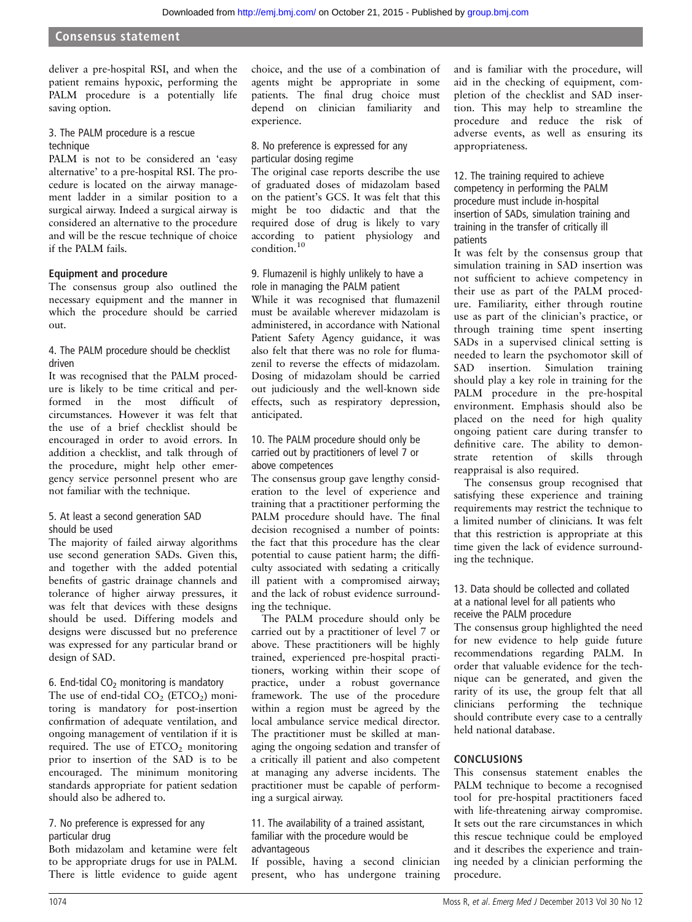# Consensus statement

deliver a pre-hospital RSI, and when the patient remains hypoxic, performing the PALM procedure is a potentially life saving option.

#### 3. The PALM procedure is a rescue technique

PALM is not to be considered an 'easy alternative' to a pre-hospital RSI. The procedure is located on the airway management ladder in a similar position to a surgical airway. Indeed a surgical airway is considered an alternative to the procedure and will be the rescue technique of choice if the PALM fails.

# Equipment and procedure

The consensus group also outlined the necessary equipment and the manner in which the procedure should be carried out.

#### 4. The PALM procedure should be checklist driven

It was recognised that the PALM procedure is likely to be time critical and performed in the most difficult of circumstances. However it was felt that the use of a brief checklist should be encouraged in order to avoid errors. In addition a checklist, and talk through of the procedure, might help other emergency service personnel present who are not familiar with the technique.

#### 5. At least a second generation SAD should be used

The majority of failed airway algorithms use second generation SADs. Given this, and together with the added potential benefits of gastric drainage channels and tolerance of higher airway pressures, it was felt that devices with these designs should be used. Differing models and designs were discussed but no preference was expressed for any particular brand or design of SAD.

# 6. End-tidal  $CO<sub>2</sub>$  monitoring is mandatory

The use of end-tidal  $CO<sub>2</sub>$  (ETCO<sub>2</sub>) monitoring is mandatory for post-insertion confirmation of adequate ventilation, and ongoing management of ventilation if it is required. The use of  $ETCO<sub>2</sub>$  monitoring prior to insertion of the SAD is to be encouraged. The minimum monitoring standards appropriate for patient sedation should also be adhered to.

#### 7. No preference is expressed for any particular drug

Both midazolam and ketamine were felt to be appropriate drugs for use in PALM. There is little evidence to guide agent choice, and the use of a combination of agents might be appropriate in some patients. The final drug choice must depend on clinician familiarity and experience.

#### 8. No preference is expressed for any particular dosing regime

The original case reports describe the use of graduated doses of midazolam based on the patient's GCS. It was felt that this might be too didactic and that the required dose of drug is likely to vary according to patient physiology and condition.<sup>10</sup>

# 9. Flumazenil is highly unlikely to have a role in managing the PALM patient

While it was recognised that flumazenil must be available wherever midazolam is administered, in accordance with National Patient Safety Agency guidance, it was also felt that there was no role for flumazenil to reverse the effects of midazolam. Dosing of midazolam should be carried out judiciously and the well-known side effects, such as respiratory depression, anticipated.

# 10. The PALM procedure should only be carried out by practitioners of level 7 or above competences

The consensus group gave lengthy consideration to the level of experience and training that a practitioner performing the PALM procedure should have. The final decision recognised a number of points: the fact that this procedure has the clear potential to cause patient harm; the difficulty associated with sedating a critically ill patient with a compromised airway; and the lack of robust evidence surrounding the technique.

The PALM procedure should only be carried out by a practitioner of level 7 or above. These practitioners will be highly trained, experienced pre-hospital practitioners, working within their scope of practice, under a robust governance framework. The use of the procedure within a region must be agreed by the local ambulance service medical director. The practitioner must be skilled at managing the ongoing sedation and transfer of a critically ill patient and also competent at managing any adverse incidents. The practitioner must be capable of performing a surgical airway.

#### 11. The availability of a trained assistant, familiar with the procedure would be advantageous

If possible, having a second clinician present, who has undergone training and is familiar with the procedure, will aid in the checking of equipment, completion of the checklist and SAD insertion. This may help to streamline the procedure and reduce the risk of adverse events, as well as ensuring its appropriateness.

# 12. The training required to achieve competency in performing the PALM procedure must include in-hospital insertion of SADs, simulation training and training in the transfer of critically ill patients

It was felt by the consensus group that simulation training in SAD insertion was not sufficient to achieve competency in their use as part of the PALM procedure. Familiarity, either through routine use as part of the clinician's practice, or through training time spent inserting SADs in a supervised clinical setting is needed to learn the psychomotor skill of SAD insertion. Simulation training should play a key role in training for the PALM procedure in the pre-hospital environment. Emphasis should also be placed on the need for high quality ongoing patient care during transfer to definitive care. The ability to demonstrate retention of skills through reappraisal is also required.

The consensus group recognised that satisfying these experience and training requirements may restrict the technique to a limited number of clinicians. It was felt that this restriction is appropriate at this time given the lack of evidence surrounding the technique.

# 13. Data should be collected and collated at a national level for all patients who receive the PALM procedure

The consensus group highlighted the need for new evidence to help guide future recommendations regarding PALM. In order that valuable evidence for the technique can be generated, and given the rarity of its use, the group felt that all clinicians performing the technique should contribute every case to a centrally held national database.

# **CONCLUSIONS**

This consensus statement enables the PALM technique to become a recognised tool for pre-hospital practitioners faced with life-threatening airway compromise. It sets out the rare circumstances in which this rescue technique could be employed and it describes the experience and training needed by a clinician performing the procedure.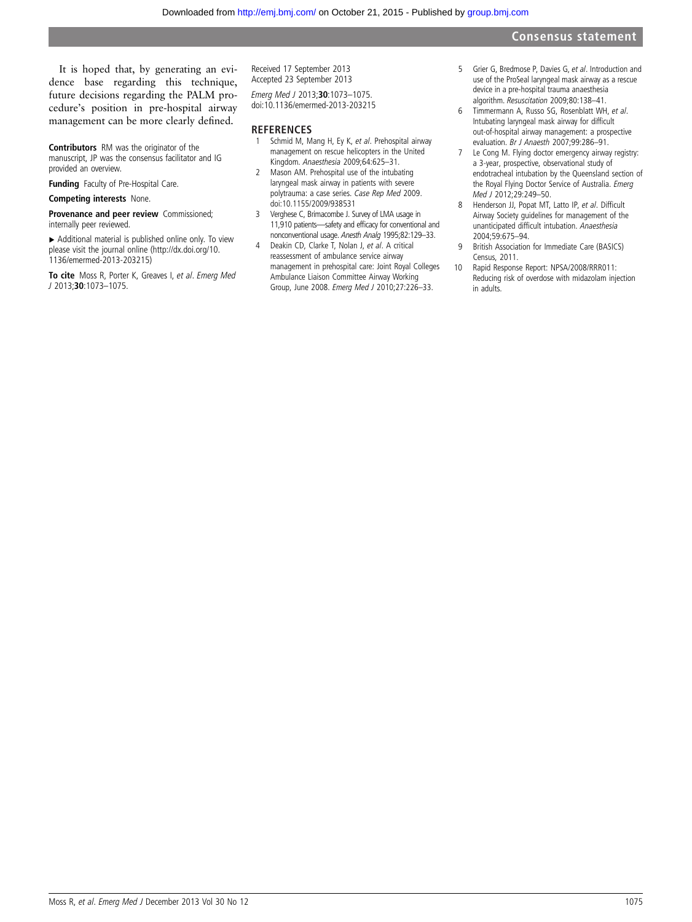It is hoped that, by generating an evidence base regarding this technique, future decisions regarding the PALM procedure's position in pre-hospital airway management can be more clearly defined.

Contributors RM was the originator of the manuscript, JP was the consensus facilitator and IG provided an overview.

Funding Faculty of Pre-Hospital Care.

#### Competing interests None.

Provenance and peer review Commissioned; internally peer reviewed.

▶ Additional material is published online only. To view please visit the journal online ([http://dx.doi.org/10.](http://dx.doi.org/10.1136/emermed-2013-203215) [1136/emermed-2013-203215\)](http://dx.doi.org/10.1136/emermed-2013-203215)

To cite Moss R, Porter K, Greaves I, et al. Emerg Med J 2013;30:1073–1075.

Received 17 September 2013 Accepted 23 September 2013 Emerg Med J 2013;30:1073–1075. doi:10.1136/emermed-2013-203215

#### **REFERENCES**

- Schmid M, Mang H, Ey K, et al. Prehospital airway management on rescue helicopters in the United Kingdom. Anaesthesia 2009;64:625–31.
- 2 Mason AM. Prehospital use of the intubating laryngeal mask airway in patients with severe polytrauma: a case series. Case Rep Med 2009. doi:10.1155/2009/938531
- 3 Verghese C, Brimacombe J. Survey of LMA usage in 11,910 patients—safety and efficacy for conventional and nonconventional usage. Anesth Analg 1995;82:129–33.
- 4 Deakin CD, Clarke T, Nolan J, et al. A critical reassessment of ambulance service airway management in prehospital care: Joint Royal Colleges Ambulance Liaison Committee Airway Working Group, June 2008. Emerg Med J 2010;27:226–33.
- 5 Grier G, Bredmose P, Davies G, et al. Introduction and use of the ProSeal laryngeal mask airway as a rescue device in a pre-hospital trauma anaesthesia algorithm. Resuscitation 2009;80:138–41.
- 6 Timmermann A, Russo SG, Rosenblatt WH, et al. Intubating laryngeal mask airway for difficult out-of-hospital airway management: a prospective evaluation. Br J Anaesth 2007;99:286–91.
- 7 Le Cong M. Flying doctor emergency airway registry: a 3-year, prospective, observational study of endotracheal intubation by the Queensland section of the Royal Flying Doctor Service of Australia. Emerg Med J 2012;29:249-50.
- 8 Henderson JJ, Popat MT, Latto IP, et al. Difficult Airway Society guidelines for management of the unanticipated difficult intubation. Anaesthesia 2004;59:675–94.
- 9 British Association for Immediate Care (BASICS) Census, 2011.
- 10 Rapid Response Report: NPSA/2008/RRR011: Reducing risk of overdose with midazolam injection in adults.